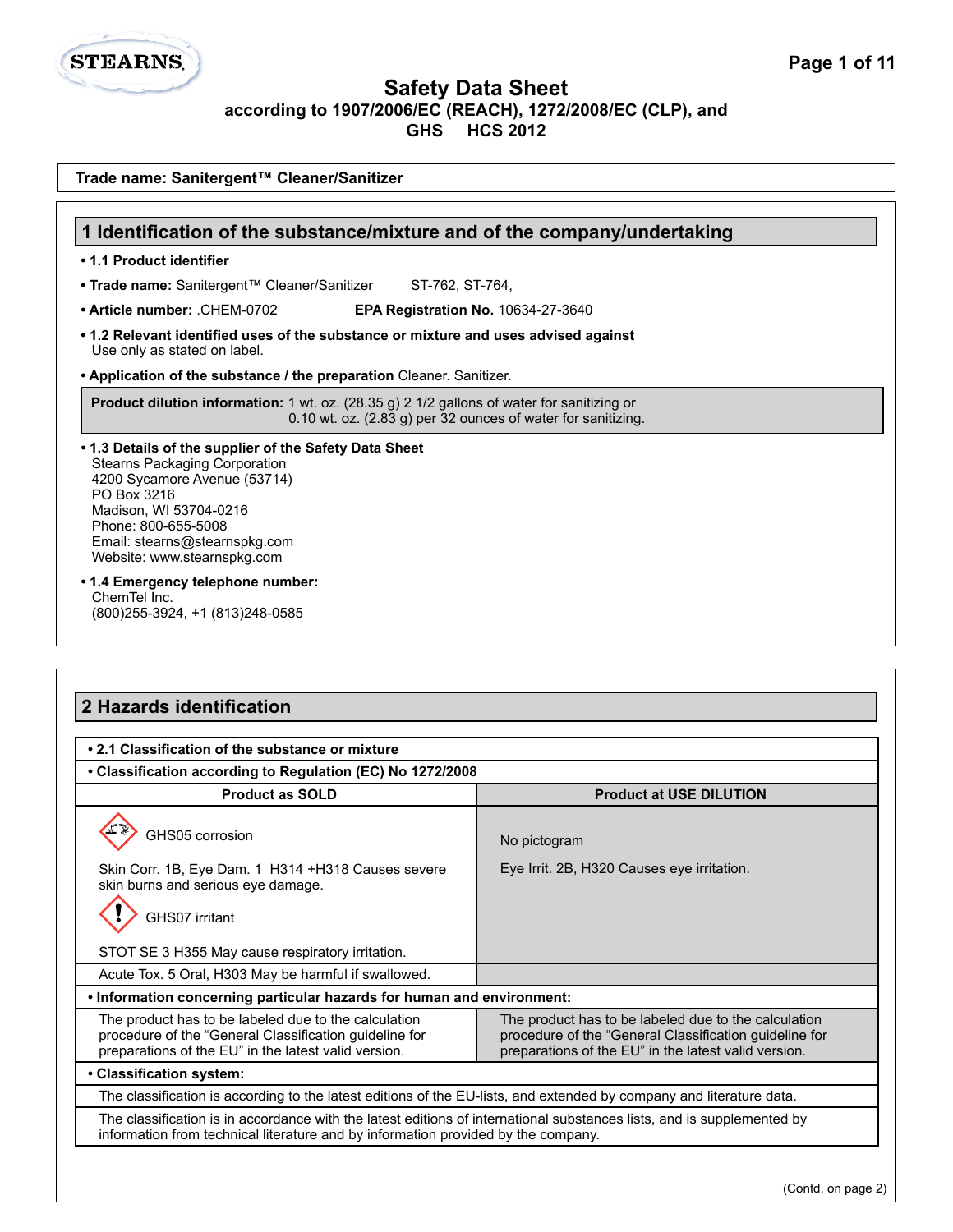# **STEARNS.**

#### **Safety Data Sheet according to 1907/2006/EC (REACH), 1272/2008/EC (CLP), and GHS HCS 2012**

| Trade name: Sanitergent™ Cleaner/Sanitizer                                                                                                                                                                                                                                                                                                               |  |  |
|----------------------------------------------------------------------------------------------------------------------------------------------------------------------------------------------------------------------------------------------------------------------------------------------------------------------------------------------------------|--|--|
| 1 Identification of the substance/mixture and of the company/undertaking                                                                                                                                                                                                                                                                                 |  |  |
| • 1.1 Product identifier                                                                                                                                                                                                                                                                                                                                 |  |  |
| • Trade name: Sanitergent™ Cleaner/Sanitizer<br>ST-762, ST-764,                                                                                                                                                                                                                                                                                          |  |  |
| • Article number: .CHEM-0702<br><b>EPA Registration No. 10634-27-3640</b>                                                                                                                                                                                                                                                                                |  |  |
| • 1.2 Relevant identified uses of the substance or mixture and uses advised against<br>Use only as stated on label.                                                                                                                                                                                                                                      |  |  |
| • Application of the substance / the preparation Cleaner. Sanitizer.                                                                                                                                                                                                                                                                                     |  |  |
| <b>Product dilution information:</b> 1 wt. oz. (28.35 g) 2 1/2 gallons of water for sanitizing or<br>0.10 wt. oz. (2.83 g) per 32 ounces of water for sanitizing.                                                                                                                                                                                        |  |  |
| • 1.3 Details of the supplier of the Safety Data Sheet<br><b>Stearns Packaging Corporation</b><br>4200 Sycamore Avenue (53714)<br>PO Box 3216<br>Madison, WI 53704-0216<br>Phone: 800-655-5008<br>Email: stearns@stearnspkg.com<br>Website: www.stearnspkg.com<br>• 1.4 Emergency telephone number:<br>ChemTel Inc.<br>(800) 255-3924, +1 (813) 248-0585 |  |  |
| 2 Hazards identification                                                                                                                                                                                                                                                                                                                                 |  |  |
| • 2.1 Classification of the substance or mixture                                                                                                                                                                                                                                                                                                         |  |  |

| • Classification according to Regulation (EC) No 1272/2008                                                                                                                                                  |                                                                                                                                                                        |  |  |
|-------------------------------------------------------------------------------------------------------------------------------------------------------------------------------------------------------------|------------------------------------------------------------------------------------------------------------------------------------------------------------------------|--|--|
| <b>Product as SOLD</b>                                                                                                                                                                                      | <b>Product at USE DILUTION</b>                                                                                                                                         |  |  |
| GHS05 corrosion                                                                                                                                                                                             | No pictogram                                                                                                                                                           |  |  |
| Skin Corr. 1B, Eye Dam. 1 H314 +H318 Causes severe<br>skin burns and serious eye damage.                                                                                                                    | Eye Irrit. 2B, H320 Causes eye irritation.                                                                                                                             |  |  |
| GHS07 irritant                                                                                                                                                                                              |                                                                                                                                                                        |  |  |
| STOT SE 3 H355 May cause respiratory irritation.                                                                                                                                                            |                                                                                                                                                                        |  |  |
| Acute Tox. 5 Oral, H303 May be harmful if swallowed.                                                                                                                                                        |                                                                                                                                                                        |  |  |
| . Information concerning particular hazards for human and environment:                                                                                                                                      |                                                                                                                                                                        |  |  |
| The product has to be labeled due to the calculation<br>procedure of the "General Classification guideline for<br>preparations of the EU" in the latest valid version.                                      | The product has to be labeled due to the calculation<br>procedure of the "General Classification guideline for<br>preparations of the EU" in the latest valid version. |  |  |
| • Classification system:                                                                                                                                                                                    |                                                                                                                                                                        |  |  |
| The classification is according to the latest editions of the EU-lists, and extended by company and literature data.                                                                                        |                                                                                                                                                                        |  |  |
| The classification is in accordance with the latest editions of international substances lists, and is supplemented by<br>information from technical literature and by information provided by the company. |                                                                                                                                                                        |  |  |
|                                                                                                                                                                                                             |                                                                                                                                                                        |  |  |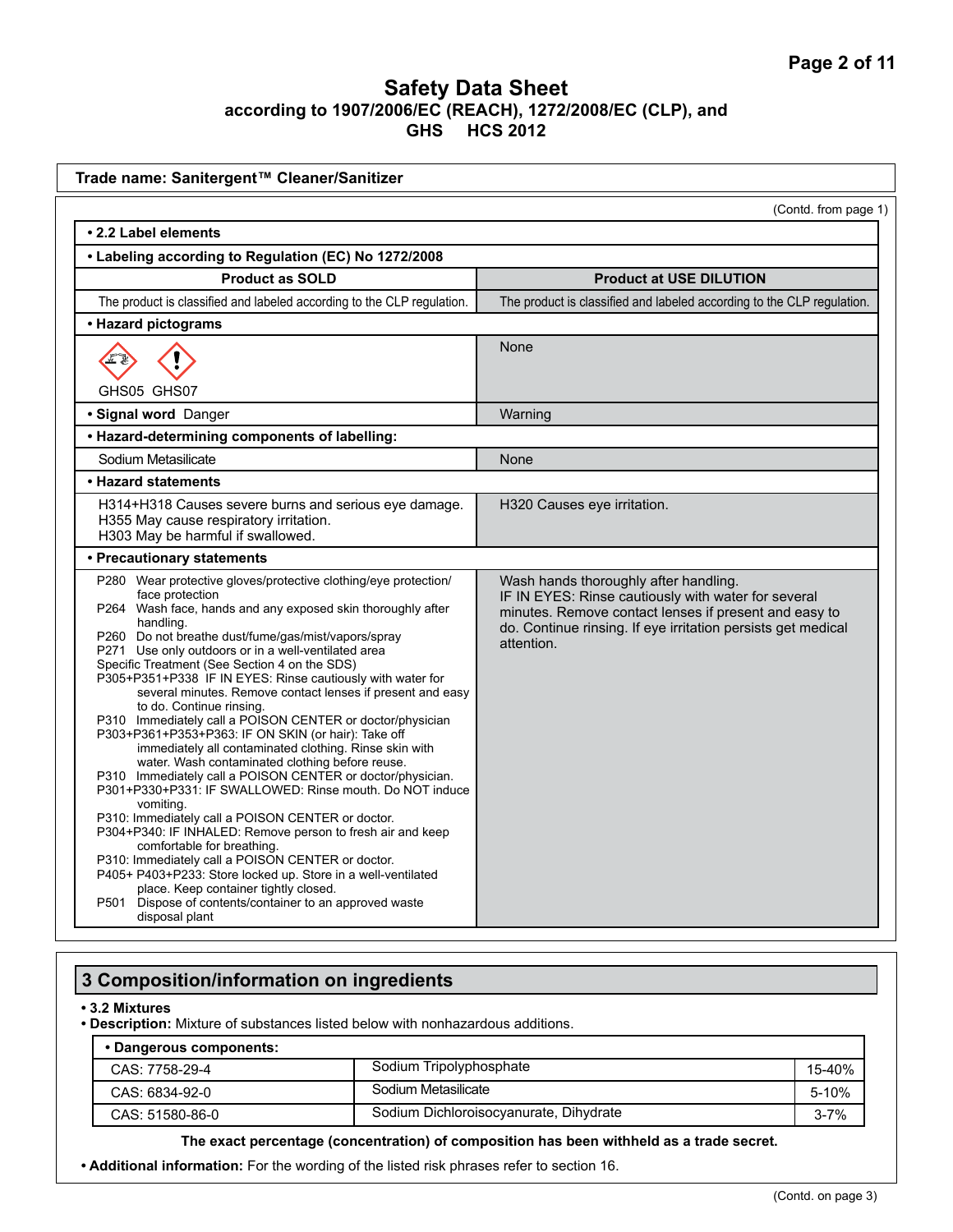| Trade name: Sanitergent™ Cleaner/Sanitizer                                                                                                                                                                                                                                                                                                                                                                                                                                                                                                                                                                                                                                                                                                                                                                                                                                                                                                                                                                                                                                                                                                                                                                                                                |                                                                                                                                                                                                                                     |  |  |  |
|-----------------------------------------------------------------------------------------------------------------------------------------------------------------------------------------------------------------------------------------------------------------------------------------------------------------------------------------------------------------------------------------------------------------------------------------------------------------------------------------------------------------------------------------------------------------------------------------------------------------------------------------------------------------------------------------------------------------------------------------------------------------------------------------------------------------------------------------------------------------------------------------------------------------------------------------------------------------------------------------------------------------------------------------------------------------------------------------------------------------------------------------------------------------------------------------------------------------------------------------------------------|-------------------------------------------------------------------------------------------------------------------------------------------------------------------------------------------------------------------------------------|--|--|--|
| (Contd. from page 1)                                                                                                                                                                                                                                                                                                                                                                                                                                                                                                                                                                                                                                                                                                                                                                                                                                                                                                                                                                                                                                                                                                                                                                                                                                      |                                                                                                                                                                                                                                     |  |  |  |
| • 2.2 Label elements                                                                                                                                                                                                                                                                                                                                                                                                                                                                                                                                                                                                                                                                                                                                                                                                                                                                                                                                                                                                                                                                                                                                                                                                                                      |                                                                                                                                                                                                                                     |  |  |  |
| • Labeling according to Regulation (EC) No 1272/2008                                                                                                                                                                                                                                                                                                                                                                                                                                                                                                                                                                                                                                                                                                                                                                                                                                                                                                                                                                                                                                                                                                                                                                                                      |                                                                                                                                                                                                                                     |  |  |  |
| <b>Product as SOLD</b>                                                                                                                                                                                                                                                                                                                                                                                                                                                                                                                                                                                                                                                                                                                                                                                                                                                                                                                                                                                                                                                                                                                                                                                                                                    | <b>Product at USE DILUTION</b>                                                                                                                                                                                                      |  |  |  |
| The product is classified and labeled according to the CLP regulation.                                                                                                                                                                                                                                                                                                                                                                                                                                                                                                                                                                                                                                                                                                                                                                                                                                                                                                                                                                                                                                                                                                                                                                                    | The product is classified and labeled according to the CLP regulation.                                                                                                                                                              |  |  |  |
| • Hazard pictograms                                                                                                                                                                                                                                                                                                                                                                                                                                                                                                                                                                                                                                                                                                                                                                                                                                                                                                                                                                                                                                                                                                                                                                                                                                       |                                                                                                                                                                                                                                     |  |  |  |
|                                                                                                                                                                                                                                                                                                                                                                                                                                                                                                                                                                                                                                                                                                                                                                                                                                                                                                                                                                                                                                                                                                                                                                                                                                                           | None                                                                                                                                                                                                                                |  |  |  |
| GHS05 GHS07<br>· Signal word Danger                                                                                                                                                                                                                                                                                                                                                                                                                                                                                                                                                                                                                                                                                                                                                                                                                                                                                                                                                                                                                                                                                                                                                                                                                       | Warning                                                                                                                                                                                                                             |  |  |  |
| • Hazard-determining components of labelling:                                                                                                                                                                                                                                                                                                                                                                                                                                                                                                                                                                                                                                                                                                                                                                                                                                                                                                                                                                                                                                                                                                                                                                                                             |                                                                                                                                                                                                                                     |  |  |  |
| Sodium Metasilicate                                                                                                                                                                                                                                                                                                                                                                                                                                                                                                                                                                                                                                                                                                                                                                                                                                                                                                                                                                                                                                                                                                                                                                                                                                       | None                                                                                                                                                                                                                                |  |  |  |
| • Hazard statements                                                                                                                                                                                                                                                                                                                                                                                                                                                                                                                                                                                                                                                                                                                                                                                                                                                                                                                                                                                                                                                                                                                                                                                                                                       |                                                                                                                                                                                                                                     |  |  |  |
| H314+H318 Causes severe burns and serious eye damage.<br>H355 May cause respiratory irritation.<br>H303 May be harmful if swallowed.<br>• Precautionary statements                                                                                                                                                                                                                                                                                                                                                                                                                                                                                                                                                                                                                                                                                                                                                                                                                                                                                                                                                                                                                                                                                        | H320 Causes eye irritation.                                                                                                                                                                                                         |  |  |  |
| P280 Wear protective gloves/protective clothing/eye protection/<br>face protection<br>P264 Wash face, hands and any exposed skin thoroughly after<br>handling.<br>P260 Do not breathe dust/fume/gas/mist/vapors/spray<br>P271 Use only outdoors or in a well-ventilated area<br>Specific Treatment (See Section 4 on the SDS)<br>P305+P351+P338 IF IN EYES: Rinse cautiously with water for<br>several minutes. Remove contact lenses if present and easy<br>to do. Continue rinsing.<br>P310 Immediately call a POISON CENTER or doctor/physician<br>P303+P361+P353+P363: IF ON SKIN (or hair): Take off<br>immediately all contaminated clothing. Rinse skin with<br>water. Wash contaminated clothing before reuse.<br>P310 Immediately call a POISON CENTER or doctor/physician.<br>P301+P330+P331: IF SWALLOWED: Rinse mouth. Do NOT induce<br>vomiting.<br>P310: Immediately call a POISON CENTER or doctor.<br>P304+P340: IF INHALED: Remove person to fresh air and keep<br>comfortable for breathing.<br>P310: Immediately call a POISON CENTER or doctor.<br>P405+ P403+P233: Store locked up. Store in a well-ventilated<br>place. Keep container tightly closed.<br>P501 Dispose of contents/container to an approved waste<br>disposal plant | Wash hands thoroughly after handling.<br>IF IN EYES: Rinse cautiously with water for several<br>minutes. Remove contact lenses if present and easy to<br>do. Continue rinsing. If eye irritation persists get medical<br>attention. |  |  |  |

# **3 Composition/information on ingredients**

#### **• 3.2 Mixtures**

**• Description:** Mixture of substances listed below with nonhazardous additions.

#### **• Dangerous components:**

| $-$ and $-$ and $-$ and $-$ and $-$ |                                        |          |
|-------------------------------------|----------------------------------------|----------|
| CAS: 7758-29-4                      | Sodium Tripolyphosphate                | 15-40%   |
| CAS: 6834-92-0                      | Sodium Metasilicate                    | 5-10%    |
| CAS: 51580-86-0                     | Sodium Dichloroisocyanurate, Dihydrate | $3 - 7%$ |

#### **The exact percentage (concentration) of composition has been withheld as a trade secret.**

**• Additional information:** For the wording of the listed risk phrases refer to section 16.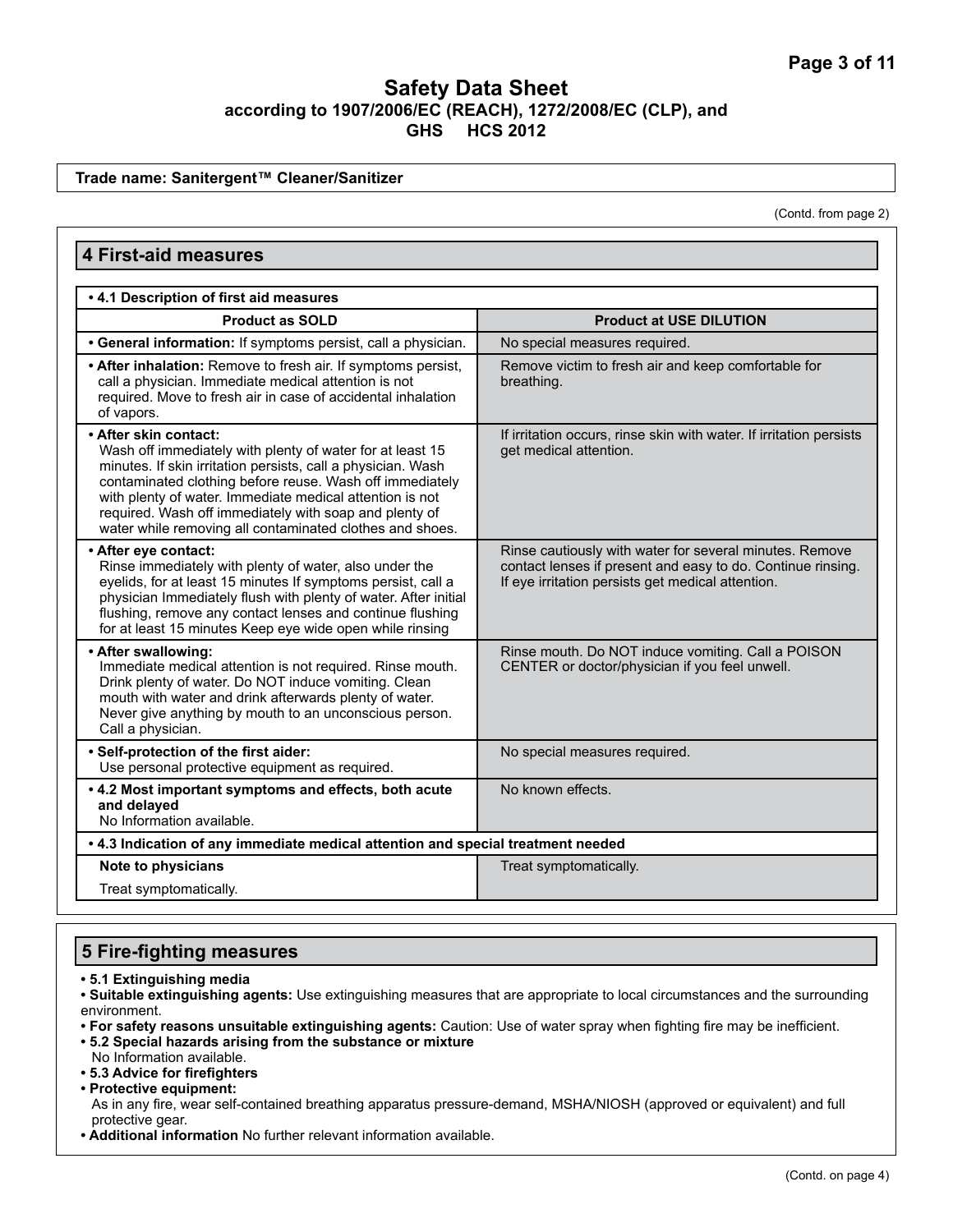**Trade name: Sanitergent™ Cleaner/Sanitizer**

(Contd. from page 2)

| <b>4 First-aid measures</b>                                                                                                                                                                                                                                                                                                                                                                      |                                                                                                                                                                             |  |  |
|--------------------------------------------------------------------------------------------------------------------------------------------------------------------------------------------------------------------------------------------------------------------------------------------------------------------------------------------------------------------------------------------------|-----------------------------------------------------------------------------------------------------------------------------------------------------------------------------|--|--|
| . 4.1 Description of first aid measures                                                                                                                                                                                                                                                                                                                                                          |                                                                                                                                                                             |  |  |
| <b>Product as SOLD</b>                                                                                                                                                                                                                                                                                                                                                                           | <b>Product at USE DILUTION</b>                                                                                                                                              |  |  |
| • General information: If symptoms persist, call a physician.                                                                                                                                                                                                                                                                                                                                    | No special measures required.                                                                                                                                               |  |  |
| • After inhalation: Remove to fresh air. If symptoms persist,<br>call a physician. Immediate medical attention is not<br>required. Move to fresh air in case of accidental inhalation<br>of vapors.                                                                                                                                                                                              | Remove victim to fresh air and keep comfortable for<br>breathing.                                                                                                           |  |  |
| • After skin contact:<br>Wash off immediately with plenty of water for at least 15<br>minutes. If skin irritation persists, call a physician. Wash<br>contaminated clothing before reuse. Wash off immediately<br>with plenty of water. Immediate medical attention is not<br>required. Wash off immediately with soap and plenty of<br>water while removing all contaminated clothes and shoes. | If irritation occurs, rinse skin with water. If irritation persists<br>get medical attention.                                                                               |  |  |
| • After eye contact:<br>Rinse immediately with plenty of water, also under the<br>eyelids, for at least 15 minutes If symptoms persist, call a<br>physician Immediately flush with plenty of water. After initial<br>flushing, remove any contact lenses and continue flushing<br>for at least 15 minutes Keep eye wide open while rinsing                                                       | Rinse cautiously with water for several minutes. Remove<br>contact lenses if present and easy to do. Continue rinsing.<br>If eye irritation persists get medical attention. |  |  |
| • After swallowing:<br>Immediate medical attention is not required. Rinse mouth.<br>Drink plenty of water. Do NOT induce vomiting. Clean<br>mouth with water and drink afterwards plenty of water.<br>Never give anything by mouth to an unconscious person.<br>Call a physician.                                                                                                                | Rinse mouth. Do NOT induce vomiting. Call a POISON<br>CENTER or doctor/physician if you feel unwell.                                                                        |  |  |
| · Self-protection of the first aider:<br>Use personal protective equipment as required.                                                                                                                                                                                                                                                                                                          | No special measures required.                                                                                                                                               |  |  |
| .4.2 Most important symptoms and effects, both acute<br>and delayed<br>No Information available.                                                                                                                                                                                                                                                                                                 | No known effects.                                                                                                                                                           |  |  |
| . 4.3 Indication of any immediate medical attention and special treatment needed                                                                                                                                                                                                                                                                                                                 |                                                                                                                                                                             |  |  |
| Note to physicians                                                                                                                                                                                                                                                                                                                                                                               | Treat symptomatically.                                                                                                                                                      |  |  |
| Treat symptomatically.                                                                                                                                                                                                                                                                                                                                                                           |                                                                                                                                                                             |  |  |

#### **5 Fire-fighting measures**

**• 5.1 Extinguishing media**

**• Suitable extinguishing agents:** Use extinguishing measures that are appropriate to local circumstances and the surrounding environment.

**• For safety reasons unsuitable extinguishing agents:** Caution: Use of water spray when fighting fire may be inefficient.

**• 5.2 Special hazards arising from the substance or mixture**

No Information available.

**• 5.3 Advice for firefighters**

**• Protective equipment:**

As in any fire, wear self-contained breathing apparatus pressure-demand, MSHA/NIOSH (approved or equivalent) and full protective gear.

**• Additional information** No further relevant information available.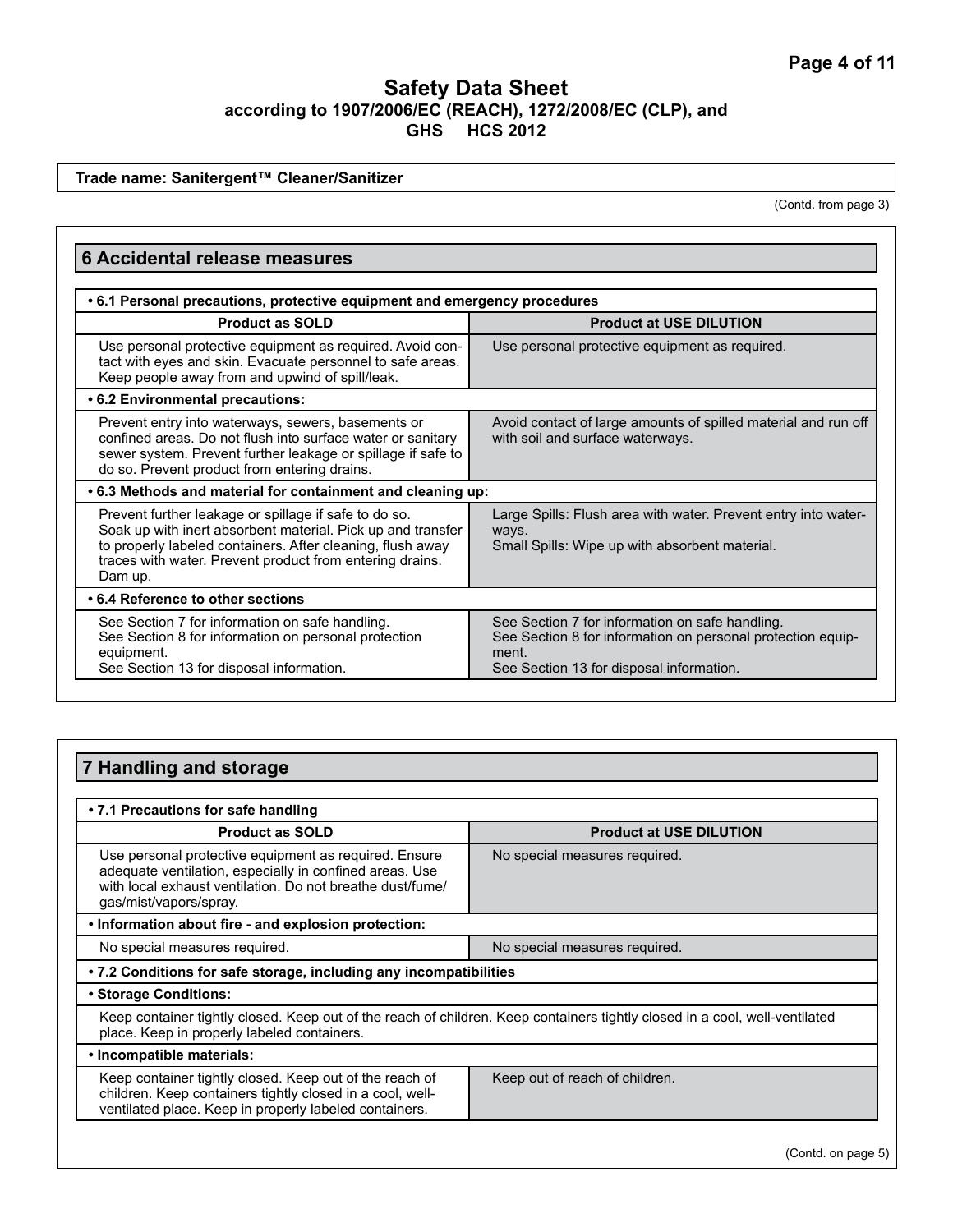**Trade name: Sanitergent™ Cleaner/Sanitizer**

(Contd. from page 3)

| <b>6 Accidental release measures</b>                                                                                                                                                                                                                      |                                                                                                                                                                     |  |  |
|-----------------------------------------------------------------------------------------------------------------------------------------------------------------------------------------------------------------------------------------------------------|---------------------------------------------------------------------------------------------------------------------------------------------------------------------|--|--|
| • 6.1 Personal precautions, protective equipment and emergency procedures                                                                                                                                                                                 |                                                                                                                                                                     |  |  |
| <b>Product as SOLD</b>                                                                                                                                                                                                                                    | <b>Product at USE DILUTION</b>                                                                                                                                      |  |  |
| Use personal protective equipment as required. Avoid con-<br>tact with eyes and skin. Evacuate personnel to safe areas.<br>Keep people away from and upwind of spill/leak.                                                                                | Use personal protective equipment as required.                                                                                                                      |  |  |
| • 6.2 Environmental precautions:                                                                                                                                                                                                                          |                                                                                                                                                                     |  |  |
| Prevent entry into waterways, sewers, basements or<br>confined areas. Do not flush into surface water or sanitary<br>sewer system. Prevent further leakage or spillage if safe to<br>do so. Prevent product from entering drains.                         | Avoid contact of large amounts of spilled material and run off<br>with soil and surface waterways.                                                                  |  |  |
| .6.3 Methods and material for containment and cleaning up:                                                                                                                                                                                                |                                                                                                                                                                     |  |  |
| Prevent further leakage or spillage if safe to do so.<br>Soak up with inert absorbent material. Pick up and transfer<br>to properly labeled containers. After cleaning, flush away<br>traces with water. Prevent product from entering drains.<br>Dam up. | Large Spills: Flush area with water. Prevent entry into water-<br>ways.<br>Small Spills: Wipe up with absorbent material.                                           |  |  |
| • 6.4 Reference to other sections                                                                                                                                                                                                                         |                                                                                                                                                                     |  |  |
| See Section 7 for information on safe handling.<br>See Section 8 for information on personal protection<br>equipment.<br>See Section 13 for disposal information.                                                                                         | See Section 7 for information on safe handling.<br>See Section 8 for information on personal protection equip-<br>ment.<br>See Section 13 for disposal information. |  |  |

| 7 Handling and storage                                                                                                                                                                                  |                                |  |  |
|---------------------------------------------------------------------------------------------------------------------------------------------------------------------------------------------------------|--------------------------------|--|--|
|                                                                                                                                                                                                         |                                |  |  |
| • 7.1 Precautions for safe handling                                                                                                                                                                     |                                |  |  |
| <b>Product as SOLD</b>                                                                                                                                                                                  | <b>Product at USE DILUTION</b> |  |  |
| Use personal protective equipment as required. Ensure<br>adequate ventilation, especially in confined areas. Use<br>with local exhaust ventilation. Do not breathe dust/fume/<br>gas/mist/vapors/spray. | No special measures required.  |  |  |
| . Information about fire - and explosion protection:                                                                                                                                                    |                                |  |  |
| No special measures required.<br>No special measures required.                                                                                                                                          |                                |  |  |
| • 7.2 Conditions for safe storage, including any incompatibilities                                                                                                                                      |                                |  |  |
| • Storage Conditions:                                                                                                                                                                                   |                                |  |  |
| Keep container tightly closed. Keep out of the reach of children. Keep containers tightly closed in a cool, well-ventilated<br>place. Keep in properly labeled containers.                              |                                |  |  |
| • Incompatible materials:                                                                                                                                                                               |                                |  |  |
| Keep container tightly closed. Keep out of the reach of<br>children. Keep containers tightly closed in a cool, well-<br>ventilated place. Keep in properly labeled containers.                          | Keep out of reach of children. |  |  |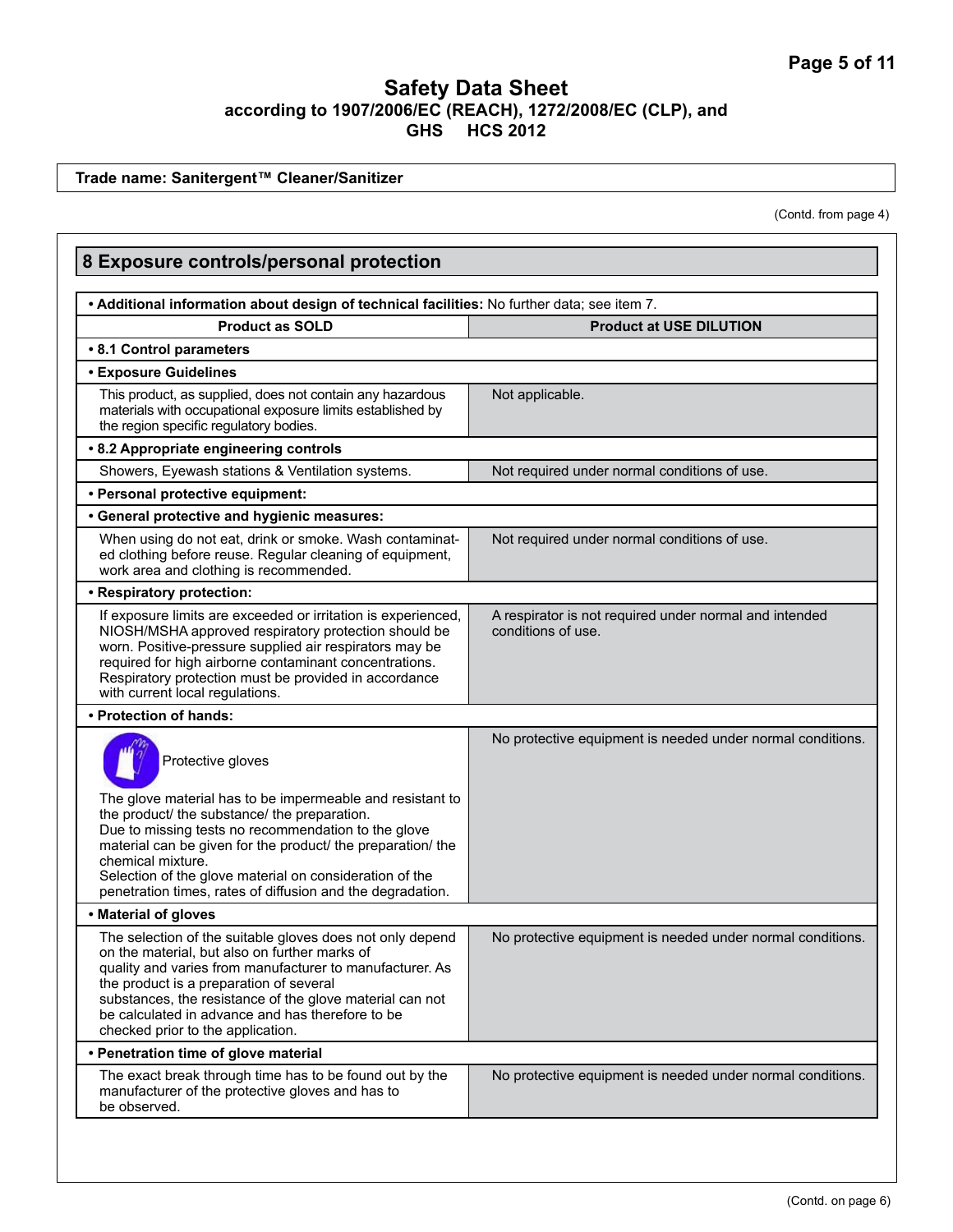**Trade name: Sanitergent™ Cleaner/Sanitizer**

(Contd. from page 4)

| 8 Exposure controls/personal protection                                                                                                                                                                                                                                                                                                                                                            |                                                                              |  |  |
|----------------------------------------------------------------------------------------------------------------------------------------------------------------------------------------------------------------------------------------------------------------------------------------------------------------------------------------------------------------------------------------------------|------------------------------------------------------------------------------|--|--|
| . Additional information about design of technical facilities: No further data; see item 7.                                                                                                                                                                                                                                                                                                        |                                                                              |  |  |
| <b>Product as SOLD</b>                                                                                                                                                                                                                                                                                                                                                                             | <b>Product at USE DILUTION</b>                                               |  |  |
| • 8.1 Control parameters                                                                                                                                                                                                                                                                                                                                                                           |                                                                              |  |  |
| <b>• Exposure Guidelines</b>                                                                                                                                                                                                                                                                                                                                                                       |                                                                              |  |  |
| This product, as supplied, does not contain any hazardous<br>materials with occupational exposure limits established by<br>the region specific regulatory bodies.                                                                                                                                                                                                                                  | Not applicable.                                                              |  |  |
| • 8.2 Appropriate engineering controls                                                                                                                                                                                                                                                                                                                                                             |                                                                              |  |  |
| Showers, Eyewash stations & Ventilation systems.                                                                                                                                                                                                                                                                                                                                                   | Not required under normal conditions of use.                                 |  |  |
| • Personal protective equipment:                                                                                                                                                                                                                                                                                                                                                                   |                                                                              |  |  |
| • General protective and hygienic measures:                                                                                                                                                                                                                                                                                                                                                        |                                                                              |  |  |
| When using do not eat, drink or smoke. Wash contaminat-<br>ed clothing before reuse. Regular cleaning of equipment,<br>work area and clothing is recommended.                                                                                                                                                                                                                                      | Not required under normal conditions of use.                                 |  |  |
| • Respiratory protection:                                                                                                                                                                                                                                                                                                                                                                          |                                                                              |  |  |
| If exposure limits are exceeded or irritation is experienced,<br>NIOSH/MSHA approved respiratory protection should be<br>worn. Positive-pressure supplied air respirators may be<br>required for high airborne contaminant concentrations.<br>Respiratory protection must be provided in accordance<br>with current local regulations.                                                             | A respirator is not required under normal and intended<br>conditions of use. |  |  |
| • Protection of hands:                                                                                                                                                                                                                                                                                                                                                                             |                                                                              |  |  |
| Protective gloves<br>The glove material has to be impermeable and resistant to<br>the product/ the substance/ the preparation.<br>Due to missing tests no recommendation to the glove<br>material can be given for the product/ the preparation/ the<br>chemical mixture.<br>Selection of the glove material on consideration of the<br>penetration times, rates of diffusion and the degradation. | No protective equipment is needed under normal conditions.                   |  |  |
| • Material of gloves                                                                                                                                                                                                                                                                                                                                                                               |                                                                              |  |  |
| The selection of the suitable gloves does not only depend<br>on the material, but also on further marks of<br>quality and varies from manufacturer to manufacturer. As<br>the product is a preparation of several<br>substances, the resistance of the glove material can not<br>be calculated in advance and has therefore to be<br>checked prior to the application.                             | No protective equipment is needed under normal conditions.                   |  |  |
| • Penetration time of glove material                                                                                                                                                                                                                                                                                                                                                               |                                                                              |  |  |
| The exact break through time has to be found out by the<br>manufacturer of the protective gloves and has to<br>be observed.                                                                                                                                                                                                                                                                        | No protective equipment is needed under normal conditions.                   |  |  |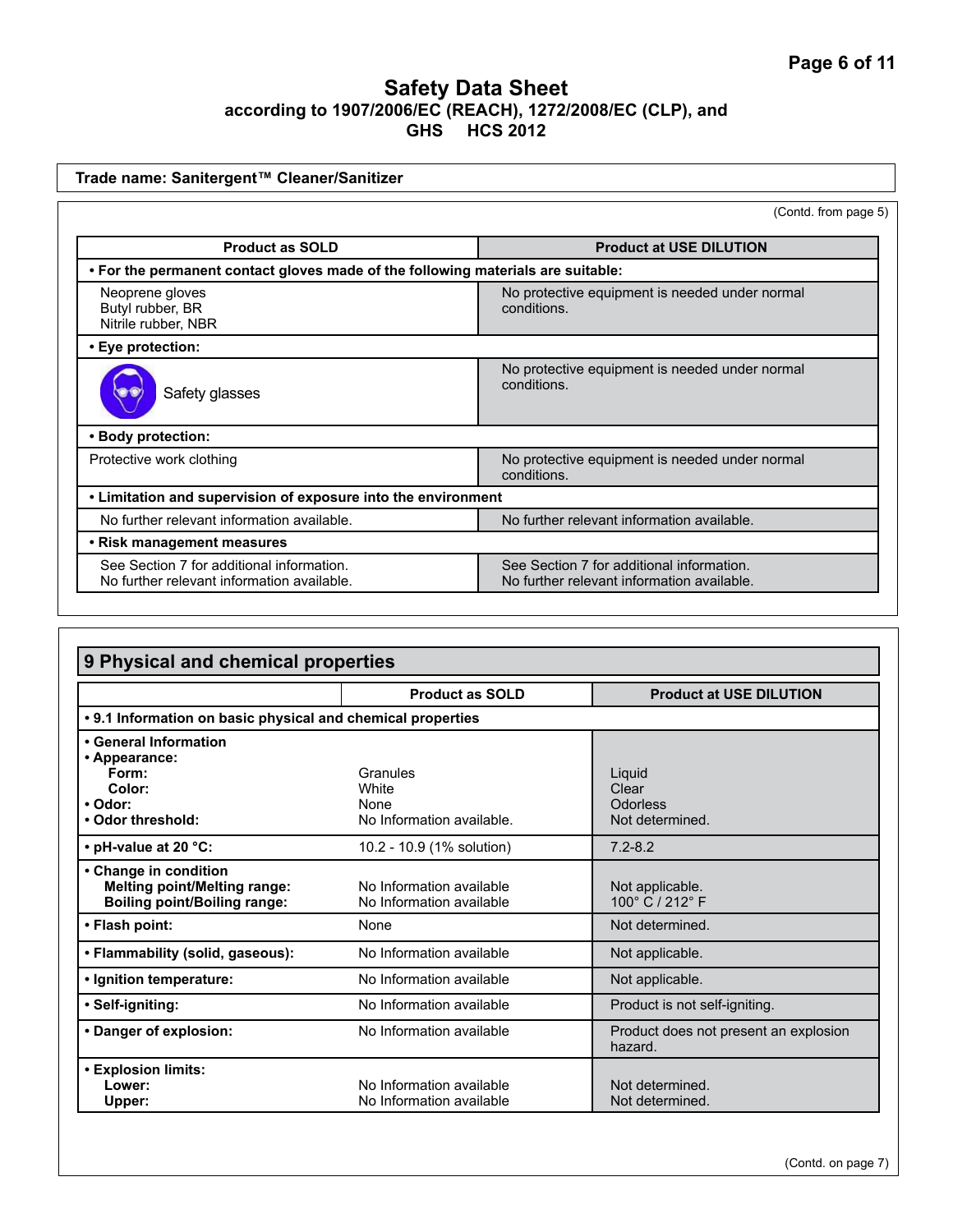| Trade name: Sanitergent™ Cleaner/Sanitizer                                              |                                                                                         |  |  |
|-----------------------------------------------------------------------------------------|-----------------------------------------------------------------------------------------|--|--|
|                                                                                         | (Contd. from page 5)                                                                    |  |  |
| <b>Product as SOLD</b>                                                                  | <b>Product at USE DILUTION</b>                                                          |  |  |
| . For the permanent contact gloves made of the following materials are suitable:        |                                                                                         |  |  |
| Neoprene gloves<br>Butyl rubber, BR<br>Nitrile rubber, NBR                              | No protective equipment is needed under normal<br>conditions.                           |  |  |
| • Eye protection:                                                                       |                                                                                         |  |  |
| Safety glasses                                                                          | No protective equipment is needed under normal<br>conditions.                           |  |  |
| • Body protection:                                                                      |                                                                                         |  |  |
| Protective work clothing                                                                | No protective equipment is needed under normal<br>conditions.                           |  |  |
| • Limitation and supervision of exposure into the environment                           |                                                                                         |  |  |
| No further relevant information available.                                              | No further relevant information available.                                              |  |  |
| • Risk management measures                                                              |                                                                                         |  |  |
| See Section 7 for additional information.<br>No further relevant information available. | See Section 7 for additional information.<br>No further relevant information available. |  |  |

| 9 Physical and chemical properties                                                                                                                          |                                                               |                                                  |  |
|-------------------------------------------------------------------------------------------------------------------------------------------------------------|---------------------------------------------------------------|--------------------------------------------------|--|
|                                                                                                                                                             | <b>Product as SOLD</b>                                        | <b>Product at USE DILUTION</b>                   |  |
| • 9.1 Information on basic physical and chemical properties                                                                                                 |                                                               |                                                  |  |
| • General Information<br>• Appearance:<br>Form:<br>Color:<br>• Odor:<br>. Odor threshold:                                                                   | Granules<br><b>White</b><br>None<br>No Information available. | Liquid<br>Clear<br>Odorless<br>Not determined.   |  |
| • pH-value at 20 °C:                                                                                                                                        | 10.2 - 10.9 (1% solution)                                     | $7.2 - 8.2$                                      |  |
| • Change in condition<br><b>Melting point/Melting range:</b><br>No Information available<br><b>Boiling point/Boiling range:</b><br>No Information available |                                                               | Not applicable.<br>100° C / 212° F               |  |
| • Flash point:                                                                                                                                              | None                                                          |                                                  |  |
| No Information available<br>• Flammability (solid, gaseous):                                                                                                |                                                               | Not applicable.                                  |  |
| No Information available<br>• Ignition temperature:                                                                                                         |                                                               | Not applicable.                                  |  |
| No Information available<br>• Self-igniting:                                                                                                                |                                                               | Product is not self-igniting.                    |  |
| • Danger of explosion:<br>No Information available                                                                                                          |                                                               | Product does not present an explosion<br>hazard. |  |
| <b>• Explosion limits:</b><br>Lower:<br>Upper:                                                                                                              | Not determined.<br>Not determined.                            |                                                  |  |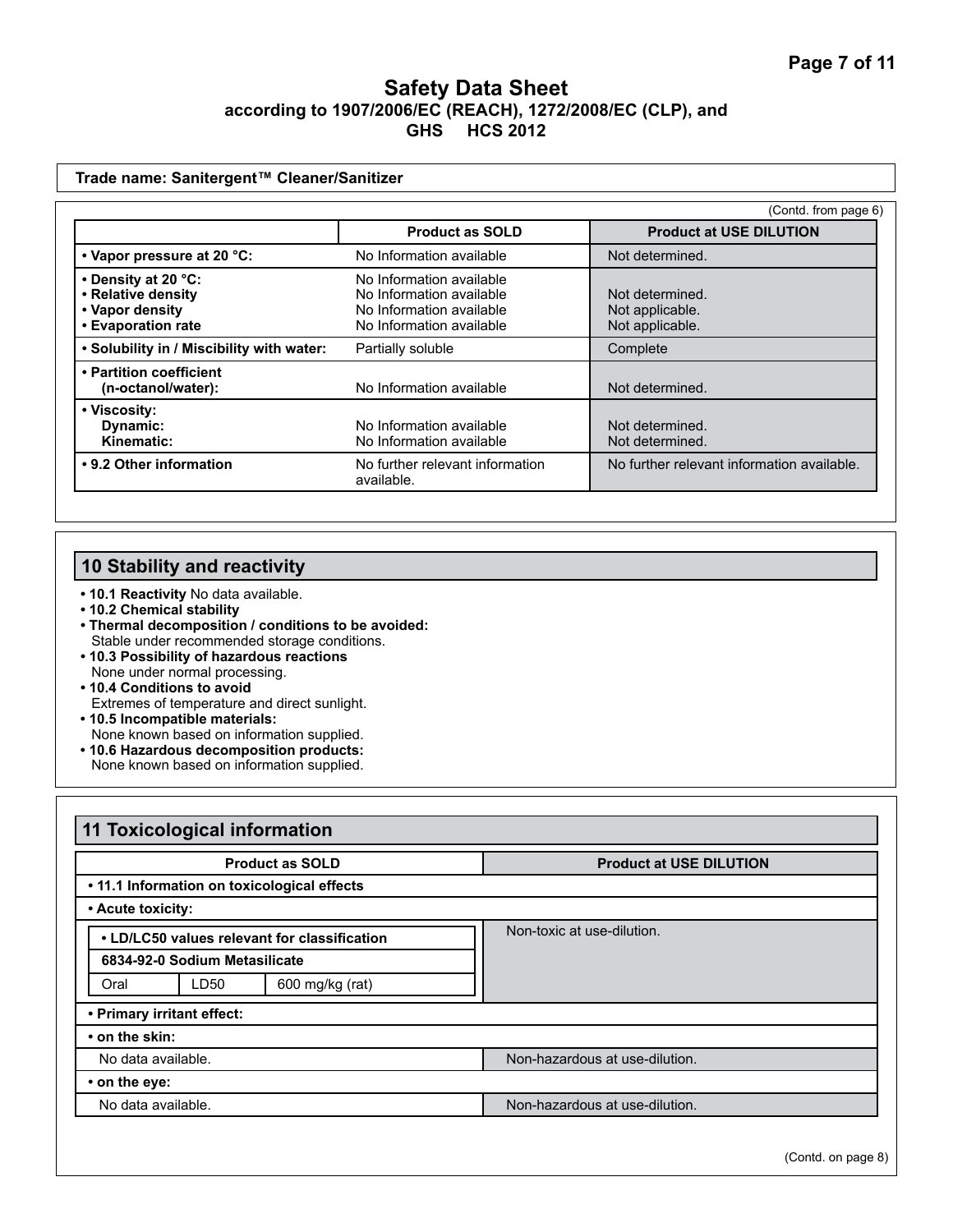| Trade name: Sanitergent™ Cleaner/Sanitizer                                         |                                                                                                              |                                                       |  |
|------------------------------------------------------------------------------------|--------------------------------------------------------------------------------------------------------------|-------------------------------------------------------|--|
|                                                                                    |                                                                                                              | (Contd. from page 6)                                  |  |
|                                                                                    | <b>Product as SOLD</b>                                                                                       | <b>Product at USE DILUTION</b>                        |  |
| • Vapor pressure at 20 °C:                                                         | No Information available                                                                                     | Not determined.                                       |  |
| • Density at 20 °C:<br>• Relative density<br>• Vapor density<br>• Evaporation rate | No Information available<br>No Information available<br>No Information available<br>No Information available | Not determined.<br>Not applicable.<br>Not applicable. |  |
| . Solubility in / Miscibility with water:                                          | Partially soluble                                                                                            | Complete                                              |  |
| • Partition coefficient<br>(n-octanol/water):                                      | No Information available                                                                                     | Not determined.                                       |  |
| • Viscosity:<br>Dynamic:<br>Kinematic:                                             | No Information available<br>No Information available                                                         | Not determined.<br>Not determined.                    |  |
| • 9.2 Other information                                                            | No further relevant information<br>available.                                                                | No further relevant information available.            |  |

# **10 Stability and reactivity**

- **10.1 Reactivity** No data available.
- **10.2 Chemical stability**
- **Thermal decomposition / conditions to be avoided:** Stable under recommended storage conditions.
- **10.3 Possibility of hazardous reactions**
- None under normal processing.
- **10.4 Conditions to avoid**  Extremes of temperature and direct sunlight.
- **10.5 Incompatible materials:**  None known based on information supplied.
- **10.6 Hazardous decomposition products:**
- None known based on information supplied.

| <b>11 Toxicological information</b>          |                            |                 |                                |                                |
|----------------------------------------------|----------------------------|-----------------|--------------------------------|--------------------------------|
| <b>Product as SOLD</b>                       |                            |                 | <b>Product at USE DILUTION</b> |                                |
| . 11.1 Information on toxicological effects  |                            |                 |                                |                                |
| • Acute toxicity:                            |                            |                 |                                |                                |
| • LD/LC50 values relevant for classification |                            |                 | Non-toxic at use-dilution.     |                                |
| 6834-92-0 Sodium Metasilicate                |                            |                 |                                |                                |
| Oral                                         | LD50                       | 600 mg/kg (rat) |                                |                                |
|                                              | • Primary irritant effect: |                 |                                |                                |
| • on the skin:                               |                            |                 |                                |                                |
| No data available.                           |                            |                 | Non-hazardous at use-dilution. |                                |
| • on the eye:                                |                            |                 |                                |                                |
| No data available.                           |                            |                 |                                | Non-hazardous at use-dilution. |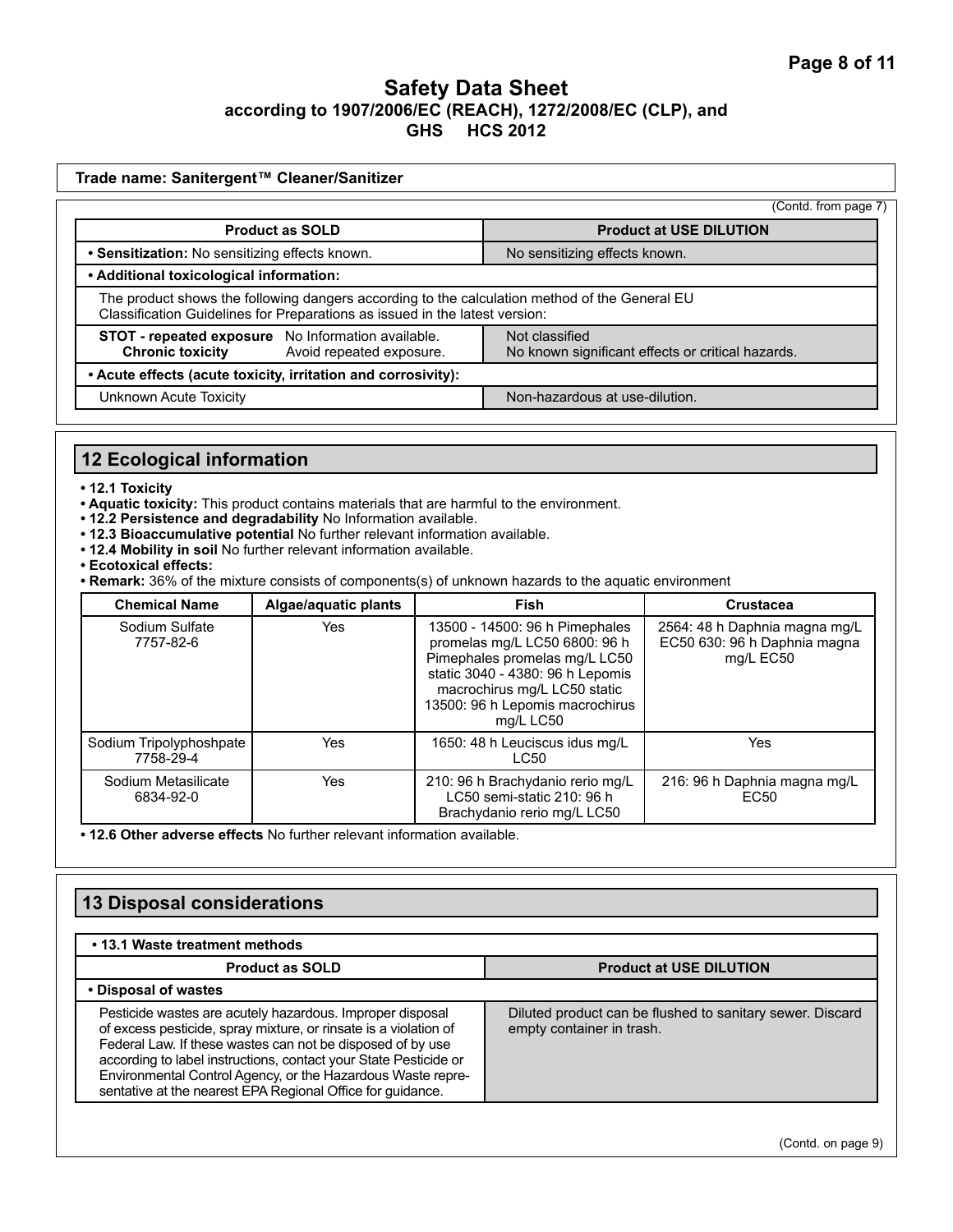|                                                                                                                                                                                                                                                              | (Contd. from page 7)                                                |
|--------------------------------------------------------------------------------------------------------------------------------------------------------------------------------------------------------------------------------------------------------------|---------------------------------------------------------------------|
| <b>Product as SOLD</b>                                                                                                                                                                                                                                       | <b>Product at USE DILUTION</b>                                      |
| • Sensitization: No sensitizing effects known.                                                                                                                                                                                                               | No sensitizing effects known.                                       |
| • Additional toxicological information:                                                                                                                                                                                                                      |                                                                     |
| The product shows the following dangers according to the calculation method of the General EU<br>Classification Guidelines for Preparations as issued in the latest version:                                                                                 |                                                                     |
| STOT - repeated exposure No Information available.<br><b>Chronic toxicity</b><br>Avoid repeated exposure.                                                                                                                                                    | Not classified<br>No known significant effects or critical hazards. |
| • Acute effects (acute toxicity, irritation and corrosivity):                                                                                                                                                                                                |                                                                     |
| Unknown Acute Toxicity                                                                                                                                                                                                                                       | Non-hazardous at use-dilution.                                      |
|                                                                                                                                                                                                                                                              |                                                                     |
| 12 Ecological information                                                                                                                                                                                                                                    |                                                                     |
| • 12.1 Toxicity<br>• Aquatic toxicity: This product contains materials that are harmful to the environment.<br>. 12.2 Persistence and degradability No Information available.<br>. 12.3 Bioaccumulative potential No further relevant information available. |                                                                     |

- **Ecotoxical effects:**
- **Remark:** 36% of the mixture consists of components(s) of unknown hazards to the aquatic environment

| <b>Chemical Name</b>                 | Algae/aquatic plants | <b>Fish</b>                                                                                                                                                                                                          | <b>Crustacea</b>                                                           |
|--------------------------------------|----------------------|----------------------------------------------------------------------------------------------------------------------------------------------------------------------------------------------------------------------|----------------------------------------------------------------------------|
| Sodium Sulfate<br>7757-82-6          | Yes                  | 13500 - 14500: 96 h Pimephales<br>promelas mg/L LC50 6800: 96 h<br>Pimephales promelas mg/L LC50<br>static 3040 - 4380: 96 h Lepomis<br>macrochirus mg/L LC50 static<br>13500: 96 h Lepomis macrochirus<br>mg/L LC50 | 2564: 48 h Daphnia magna mg/L<br>EC50 630: 96 h Daphnia magna<br>mg/L EC50 |
| Sodium Tripolyphoshpate<br>7758-29-4 | Yes                  | 1650: 48 h Leuciscus idus mg/L<br>LC50                                                                                                                                                                               | Yes                                                                        |
| Sodium Metasilicate<br>6834-92-0     | Yes                  | 210: 96 h Brachydanio rerio mg/L<br>LC50 semi-static 210: 96 h<br>Brachydanio rerio mg/L LC50                                                                                                                        | 216: 96 h Daphnia magna mg/L<br>EC <sub>50</sub>                           |

**• 12.6 Other adverse effects** No further relevant information available.

# **13 Disposal considerations**

| • 13.1 Waste treatment methods                                                                                                                                                                                                                                                                                                                                                               |                                                                                        |  |
|----------------------------------------------------------------------------------------------------------------------------------------------------------------------------------------------------------------------------------------------------------------------------------------------------------------------------------------------------------------------------------------------|----------------------------------------------------------------------------------------|--|
| <b>Product as SOLD</b>                                                                                                                                                                                                                                                                                                                                                                       | <b>Product at USE DILUTION</b>                                                         |  |
| • Disposal of wastes                                                                                                                                                                                                                                                                                                                                                                         |                                                                                        |  |
| Pesticide wastes are acutely hazardous. Improper disposal<br>of excess pesticide, spray mixture, or rinsate is a violation of<br>Federal Law. If these wastes can not be disposed of by use<br>according to label instructions, contact your State Pesticide or<br>Environmental Control Agency, or the Hazardous Waste repre-<br>sentative at the nearest EPA Regional Office for guidance. | Diluted product can be flushed to sanitary sewer. Discard<br>empty container in trash. |  |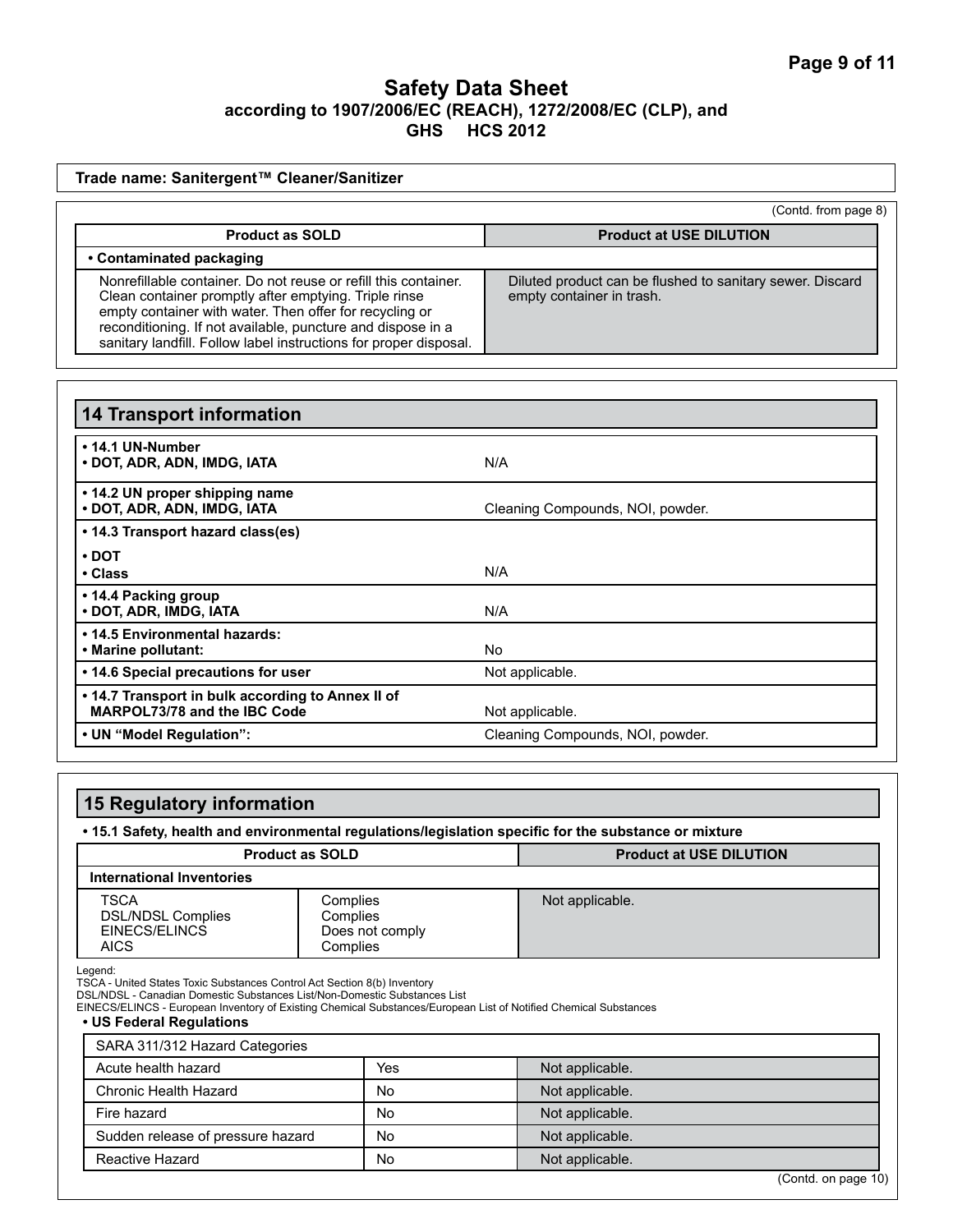|                                                                                                                                                                                                                                                                                                                         |                                                     |                                  | (Contd. from page 8)                                      |  |
|-------------------------------------------------------------------------------------------------------------------------------------------------------------------------------------------------------------------------------------------------------------------------------------------------------------------------|-----------------------------------------------------|----------------------------------|-----------------------------------------------------------|--|
| <b>Product as SOLD</b>                                                                                                                                                                                                                                                                                                  |                                                     | <b>Product at USE DILUTION</b>   |                                                           |  |
| • Contaminated packaging                                                                                                                                                                                                                                                                                                |                                                     |                                  |                                                           |  |
| Nonrefillable container. Do not reuse or refill this container.<br>Clean container promptly after emptying. Triple rinse<br>empty container with water. Then offer for recycling or<br>reconditioning. If not available, puncture and dispose in a<br>sanitary landfill. Follow label instructions for proper disposal. |                                                     | empty container in trash.        | Diluted product can be flushed to sanitary sewer. Discard |  |
| <b>14 Transport information</b>                                                                                                                                                                                                                                                                                         |                                                     |                                  |                                                           |  |
| • 14.1 UN-Number<br>· DOT, ADR, ADN, IMDG, IATA                                                                                                                                                                                                                                                                         |                                                     | N/A                              |                                                           |  |
| • 14.2 UN proper shipping name<br>• DOT, ADR, ADN, IMDG, IATA                                                                                                                                                                                                                                                           |                                                     | Cleaning Compounds, NOI, powder. |                                                           |  |
| • 14.3 Transport hazard class(es)                                                                                                                                                                                                                                                                                       |                                                     |                                  |                                                           |  |
| $\cdot$ DOT<br>• Class                                                                                                                                                                                                                                                                                                  |                                                     | N/A                              |                                                           |  |
| • 14.4 Packing group<br>· DOT, ADR, IMDG, IATA                                                                                                                                                                                                                                                                          |                                                     | N/A                              |                                                           |  |
| • 14.5 Environmental hazards:<br>• Marine pollutant:                                                                                                                                                                                                                                                                    |                                                     | No.                              |                                                           |  |
| • 14.6 Special precautions for user                                                                                                                                                                                                                                                                                     |                                                     | Not applicable.                  |                                                           |  |
| . 14.7 Transport in bulk according to Annex II of<br>MARPOL73/78 and the IBC Code                                                                                                                                                                                                                                       |                                                     | Not applicable.                  |                                                           |  |
| • UN "Model Regulation":                                                                                                                                                                                                                                                                                                |                                                     |                                  | Cleaning Compounds, NOI, powder.                          |  |
|                                                                                                                                                                                                                                                                                                                         |                                                     |                                  |                                                           |  |
|                                                                                                                                                                                                                                                                                                                         |                                                     |                                  |                                                           |  |
| <b>15 Regulatory information</b>                                                                                                                                                                                                                                                                                        |                                                     |                                  |                                                           |  |
| . 15.1 Safety, health and environmental regulations/legislation specific for the substance or mixture                                                                                                                                                                                                                   |                                                     |                                  |                                                           |  |
|                                                                                                                                                                                                                                                                                                                         | <b>Product as SOLD</b>                              |                                  | <b>Product at USE DILUTION</b>                            |  |
| <b>International Inventories</b>                                                                                                                                                                                                                                                                                        |                                                     |                                  |                                                           |  |
| <b>TSCA</b><br><b>DSL/NDSL Complies</b><br>EINECS/ELINCS<br>AICS                                                                                                                                                                                                                                                        | Complies<br>Complies<br>Does not comply<br>Complies | Not applicable.                  |                                                           |  |
| Legend:<br>TSCA - United States Toxic Substances Control Act Section 8(b) Inventory<br>DSL/NDSL - Canadian Domestic Substances List/Non-Domestic Substances List<br>EINECS/ELINCS - European Inventory of Existing Chemical Substances/European List of Notified Chemical Substances<br>• US Federal Regulations        |                                                     |                                  |                                                           |  |
|                                                                                                                                                                                                                                                                                                                         |                                                     |                                  |                                                           |  |
| SARA 311/312 Hazard Categories                                                                                                                                                                                                                                                                                          |                                                     |                                  |                                                           |  |
| Acute health hazard                                                                                                                                                                                                                                                                                                     | Yes                                                 | Not applicable.                  |                                                           |  |

Fire hazard **Notice 2** Not applicable. Sudden release of pressure hazard <br>
No Not applicable. Reactive Hazard **Notice Hazard** Notice 2012 1 Not applicable.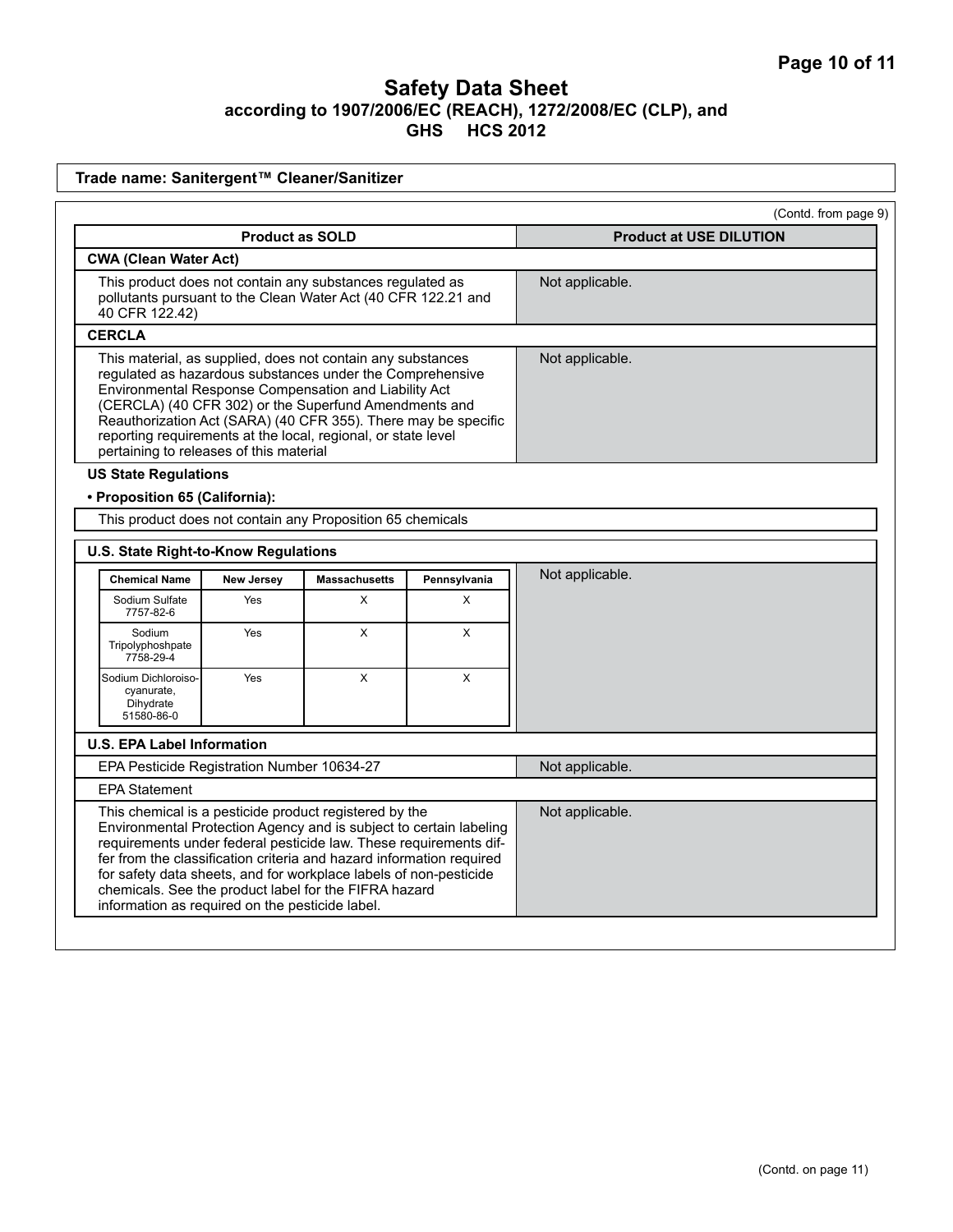|                                                                                                                                              |                        |                                                                                                                                                                                                                                                                                                                                                                               |                 | (Contd. from page 9)           |
|----------------------------------------------------------------------------------------------------------------------------------------------|------------------------|-------------------------------------------------------------------------------------------------------------------------------------------------------------------------------------------------------------------------------------------------------------------------------------------------------------------------------------------------------------------------------|-----------------|--------------------------------|
|                                                                                                                                              | <b>Product as SOLD</b> |                                                                                                                                                                                                                                                                                                                                                                               |                 | <b>Product at USE DILUTION</b> |
| <b>CWA (Clean Water Act)</b>                                                                                                                 |                        |                                                                                                                                                                                                                                                                                                                                                                               |                 |                                |
| This product does not contain any substances regulated as<br>pollutants pursuant to the Clean Water Act (40 CFR 122.21 and<br>40 CFR 122.42) |                        |                                                                                                                                                                                                                                                                                                                                                                               | Not applicable. |                                |
| <b>CERCLA</b>                                                                                                                                |                        |                                                                                                                                                                                                                                                                                                                                                                               |                 |                                |
| pertaining to releases of this material                                                                                                      |                        | This material, as supplied, does not contain any substances<br>regulated as hazardous substances under the Comprehensive<br>Environmental Response Compensation and Liability Act<br>(CERCLA) (40 CFR 302) or the Superfund Amendments and<br>Reauthorization Act (SARA) (40 CFR 355). There may be specific<br>reporting requirements at the local, regional, or state level |                 | Not applicable.                |
| <b>US State Regulations</b>                                                                                                                  |                        |                                                                                                                                                                                                                                                                                                                                                                               |                 |                                |
| • Proposition 65 (California):                                                                                                               |                        |                                                                                                                                                                                                                                                                                                                                                                               |                 |                                |
|                                                                                                                                              |                        | This product does not contain any Proposition 65 chemicals                                                                                                                                                                                                                                                                                                                    |                 |                                |
| U.S. State Right-to-Know Regulations                                                                                                         |                        |                                                                                                                                                                                                                                                                                                                                                                               |                 |                                |
| <b>Chemical Name</b>                                                                                                                         | New Jersey             | <b>Massachusetts</b>                                                                                                                                                                                                                                                                                                                                                          | Pennsylvania    | Not applicable.                |
| Sodium Sulfate<br>7757-82-6                                                                                                                  | Yes                    | X                                                                                                                                                                                                                                                                                                                                                                             | X               |                                |
| Sodium<br>Tripolyphoshpate                                                                                                                   | Yes                    | X                                                                                                                                                                                                                                                                                                                                                                             | X               |                                |
| 7758-29-4                                                                                                                                    |                        |                                                                                                                                                                                                                                                                                                                                                                               |                 |                                |
| Sodium Dichloroiso-<br>cyanurate,<br>Dihydrate<br>51580-86-0                                                                                 | Yes                    | X                                                                                                                                                                                                                                                                                                                                                                             | X               |                                |
| <b>U.S. EPA Label Information</b>                                                                                                            |                        |                                                                                                                                                                                                                                                                                                                                                                               |                 |                                |
| EPA Pesticide Registration Number 10634-27                                                                                                   |                        |                                                                                                                                                                                                                                                                                                                                                                               |                 | Not applicable.                |
| <b>EPA Statement</b>                                                                                                                         |                        |                                                                                                                                                                                                                                                                                                                                                                               |                 |                                |